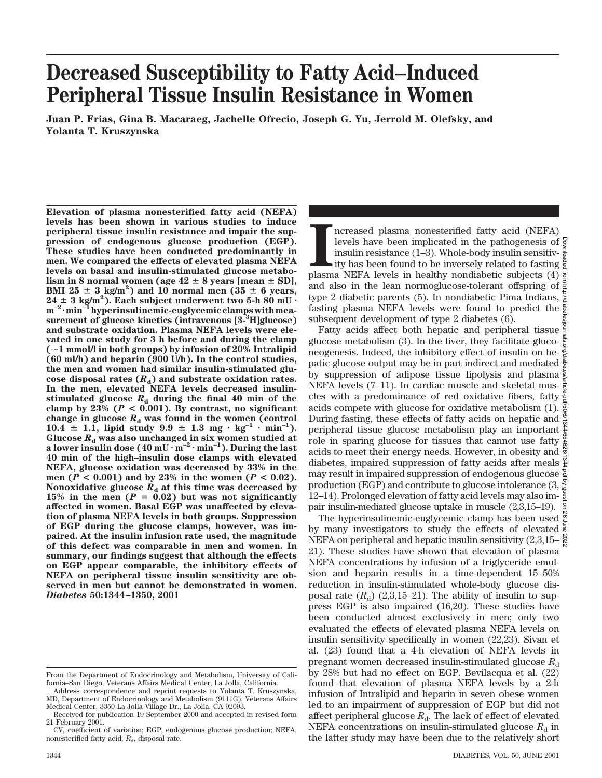# **Decreased Susceptibility to Fatty Acid–Induced Peripheral Tissue Insulin Resistance in Women**

**Juan P. Frias, Gina B. Macaraeg, Jachelle Ofrecio, Joseph G. Yu, Jerrold M. Olefsky, and Yolanta T. Kruszynska**

**Elevation of plasma nonesterified fatty acid (NEFA) levels has been shown in various studies to induce peripheral tissue insulin resistance and impair the suppression of endogenous glucose production (EGP). These studies have been conducted predominantly in men. We compared the effects of elevated plasma NEFA levels on basal and insulin-stimulated glucose metabo-** $\liminf$  in 8 normal women (age  $42 \pm 8$  years [mean  $\pm$  SD], **BMI**  $25 \pm 3$  kg/m<sup>2</sup>) and 10 normal men  $(35 \pm 6)$  years,  $24 \pm 3$  kg/m<sup>2</sup>). Each subject underwent two 5-h 80 mU  $\cdot$  $m^{-2}$ ·min<sup>-1</sup> hyperinsulinemic-euglycemic clamps with mea**surement of glucose kinetics (intravenous [3-3 H]glucose) and substrate oxidation. Plasma NEFA levels were elevated in one study for 3 h before and during the clamp (**;**1 mmol/l in both groups) by infusion of 20% Intralipid (60 ml/h) and heparin (900 U/h). In the control studies, the men and women had similar insulin-stimulated glu**cose disposal rates  $(R_d)$  and substrate oxidation rates. **In the men, elevated NEFA levels decreased insulin**stimulated glucose  $R_d$  during the final 40 min of the clamp by  $23\%$  ( $P < 0.001$ ). By contrast, no significant change in glucose  $R_d$  was found in the women (control  $10.4 \pm 1.1$ , lipid study  $9.9 \pm 1.3$  mg  $\cdot$  kg<sup>-1</sup>  $\cdot$  min<sup>-1</sup>). Glucose  $R_d$  was also unchanged in six women studied at a lower insulin dose  $(40 \text{ mU} \cdot \text{m}^{-2} \cdot \text{min}^{-1})$ . During the last **40 min of the high–insulin dose clamps with elevated NEFA, glucose oxidation was decreased by 33% in the** men ( $P < 0.001$ ) and by 23% in the women ( $P < 0.02$ ). Nonoxidative glucose  $R_d$  at this time was decreased by 15% in the men  $(P = 0.02)$  but was not significantly **affected in women. Basal EGP was unaffected by elevation of plasma NEFA levels in both groups. Suppression of EGP during the glucose clamps, however, was impaired. At the insulin infusion rate used, the magnitude of this defect was comparable in men and women. In summary, our findings suggest that although the effects on EGP appear comparable, the inhibitory effects of NEFA on peripheral tissue insulin sensitivity are observed in men but cannot be demonstrated in women.** *Diabetes* **50:1344–1350, 2001**

Increased plasma nonesterified fatty acid (NEFA) levels have been implicated in the pathogenesis of insulin resistance (1–3). Whole-body insulin sensitivity has been found to be inversely related to fasting plasma NEFA lev ncreased plasma nonesterified fatty acid (NEFA) levels have been implicated in the pathogenesis of insulin resistance (1–3). Whole-body insulin sensitiv- $\frac{3}{8}$ ity has been found to be inversely related to fasting and also in the lean normoglucose-tolerant offspring of type 2 diabetic parents (5). In nondiabetic Pima Indians,  $\frac{8}{8}$ fasting plasma NEFA levels were found to predict the subsequent development of type 2 diabetes (6).

Fatty acids affect both hepatic and peripheral tissue glucose metabolism (3). In the liver, they facilitate gluconeogenesis. Indeed, the inhibitory effect of insulin on hepatic glucose output may be in part indirect and mediated by suppression of adipose tissue lipolysis and plasma NEFA levels (7–11). In cardiac muscle and skeletal muscles with a predominance of red oxidative fibers, fatty acids compete with glucose for oxidative metabolism (1). During fasting, these effects of fatty acids on hepatic and  $\frac{3}{2}$ peripheral tissue glucose metabolism play an important role in sparing glucose for tissues that cannot use fatty  $\frac{\alpha}{\lambda}$ acids to meet their energy needs. However, in obesity and  $\frac{8}{3}$ diabetes, impaired suppression of fatty acids after meals  $\frac{\infty}{b}$ may result in impaired suppression of endogenous glucose production (EGP) and contribute to glucose intolerance (3, 12–14). Prolonged elevation of fatty acid levels may also impair insulin-mediated glucose uptake in muscle (2,3,15–19). Downloaded from http://diabetesjournals.org/diabetes/article-pdf/50/6/1344/654626/1344.pdf by guest on 28 June 2022

The hyperinsulinemic-euglycemic clamp has been used by many investigators to study the effects of elevated  $\frac{1}{8}$ NEFA on peripheral and hepatic insulin sensitivity  $(2,3,15-$ 21). These studies have shown that elevation of plasma NEFA concentrations by infusion of a triglyceride emulsion and heparin results in a time-dependent 15–50% reduction in insulin-stimulated whole-body glucose disposal rate  $(R_d)$  (2,3,15–21). The ability of insulin to suppress EGP is also impaired (16,20). These studies have been conducted almost exclusively in men; only two evaluated the effects of elevated plasma NEFA levels on insulin sensitivity specifically in women (22,23). Sivan et al. (23) found that a 4-h elevation of NEFA levels in pregnant women decreased insulin-stimulated glucose  $R_d$ by 28% but had no effect on EGP. Bevilacqua et al. (22) found that elevation of plasma NEFA levels by a 2-h infusion of Intralipid and heparin in seven obese women led to an impairment of suppression of EGP but did not affect peripheral glucose  $R_d$ . The lack of effect of elevated NEFA concentrations on insulin-stimulated glucose  $R_d$  in the latter study may have been due to the relatively short

From the Department of Endocrinology and Metabolism, University of California–San Diego, Veterans Affairs Medical Center, La Jolla, California.

Address correspondence and reprint requests to Yolanta T. Kruszynska, MD, Department of Endocrinology and Metabolism (9111G), Veterans Affairs Medical Center, 3350 La Jolla Village Dr., La Jolla, CA 92093.

Received for publication 19 September 2000 and accepted in revised form 21 February 2001.

CV, coefficient of variation; EGP, endogenous glucose production; NEFA, nonesterified fatty acid;  $R_d$ , disposal rate.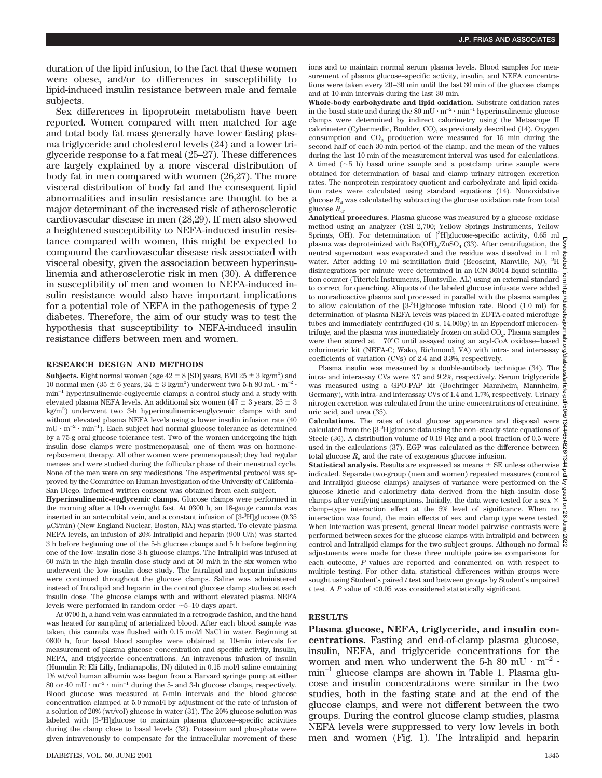duration of the lipid infusion, to the fact that these women were obese, and/or to differences in susceptibility to lipid-induced insulin resistance between male and female subjects.

Sex differences in lipoprotein metabolism have been reported. Women compared with men matched for age and total body fat mass generally have lower fasting plasma triglyceride and cholesterol levels (24) and a lower triglyceride response to a fat meal (25–27). These differences are largely explained by a more visceral distribution of body fat in men compared with women (26,27). The more visceral distribution of body fat and the consequent lipid abnormalities and insulin resistance are thought to be a major determinant of the increased risk of atherosclerotic cardiovascular disease in men (28,29). If men also showed a heightened susceptibility to NEFA-induced insulin resistance compared with women, this might be expected to compound the cardiovascular disease risk associated with visceral obesity, given the association between hyperinsulinemia and atherosclerotic risk in men (30). A difference in susceptibility of men and women to NEFA-induced insulin resistance would also have important implications for a potential role of NEFA in the pathogenesis of type 2 diabetes. Therefore, the aim of our study was to test the hypothesis that susceptibility to NEFA-induced insulin resistance differs between men and women.

#### **RESEARCH DESIGN AND METHODS**

**Subjects.** Eight normal women (age  $42 \pm 8$  [SD] years, BMI  $25 \pm 3$  kg/m<sup>2</sup>) and 10 normal men (35  $\pm$  6 years, 24  $\pm$  3 kg/m<sup>2</sup>) underwent two 5-h 80 mU · m<sup>-2</sup> · min–1 hyperinsulinemic-euglycemic clamps: a control study and a study with elevated plasma NEFA levels. An additional six women (47  $\pm$  3 years, 25  $\pm$  3 kg/m2 ) underwent two 3-h hyperinsulinemic-euglycemic clamps with and without elevated plasma NEFA levels using a lower insulin infusion rate (40  $mU \cdot m^{-2} \cdot min^{-1}$ ). Each subject had normal glucose tolerance as determined by a 75-g oral glucose tolerance test. Two of the women undergoing the high insulin dose clamps were postmenopausal; one of them was on hormonereplacement therapy. All other women were premenopausal; they had regular menses and were studied during the follicular phase of their menstrual cycle. None of the men were on any medications. The experimental protocol was approved by the Committee on Human Investigation of the University of California– San Diego. Informed written consent was obtained from each subject.

**Hyperinsulinemic-euglycemic clamps.** Glucose clamps were performed in the morning after a 10-h overnight fast. At 0300 h, an 18-gauge cannula was inserted in an antecubital vein, and a constant infusion of [3-3 H]glucose (0.35  $\mu$ Ci/min) (New England Nuclear, Boston, MA) was started. To elevate plasma NEFA levels, an infusion of 20% Intralipid and heparin (900 U/h) was started 3 h before beginning one of the 5-h glucose clamps and 5 h before beginning one of the low–insulin dose 3-h glucose clamps. The Intralipid was infused at 60 ml/h in the high insulin dose study and at 50 ml/h in the six women who underwent the low–insulin dose study. The Intralipid and heparin infusions were continued throughout the glucose clamps. Saline was administered instead of Intralipid and heparin in the control glucose clamp studies at each insulin dose. The glucose clamps with and without elevated plasma NEFA levels were performed in random order  $\sim$  5–10 days apart.

At 0700 h, a hand vein was cannulated in a retrograde fashion, and the hand was heated for sampling of arterialized blood. After each blood sample was taken, this cannula was flushed with 0.15 mol/l NaCl in water. Beginning at 0800 h, four basal blood samples were obtained at 10-min intervals for measurement of plasma glucose concentration and specific activity, insulin, NEFA, and triglyceride concentrations. An intravenous infusion of insulin (Humulin R; Eli Lilly, Indianapolis, IN) diluted in 0.15 mol/l saline containing 1% wt/vol human albumin was begun from a Harvard syringe pump at either 80 or 40 mU  $\cdot$  m<sup>-2</sup>  $\cdot$  min<sup>-1</sup> during the 5- and 3-h glucose clamps, respectively. Blood glucose was measured at 5-min intervals and the blood glucose concentration clamped at 5.0 mmol/l by adjustment of the rate of infusion of a solution of 20% (wt/vol) glucose in water (31). The 20% glucose solution was labeled with [3-3 H]glucose to maintain plasma glucose–specific activities during the clamp close to basal levels (32). Potassium and phosphate were given intravenously to compensate for the intracellular movement of these

ions and to maintain normal serum plasma levels. Blood samples for measurement of plasma glucose–specific activity, insulin, and NEFA concentrations were taken every 20–30 min until the last 30 min of the glucose clamps and at 10-min intervals during the last 30 min.

**Whole-body carbohydrate and lipid oxidation.** Substrate oxidation rates in the basal state and during the 80 mU  $\cdot$  m<sup>-2</sup>  $\cdot$  min<sup>-1</sup> hyperinsulinemic glucose clamps were determined by indirect calorimetry using the Metascope II calorimeter (Cybermedic, Boulder, CO), as previously described (14). Oxygen consumption and  $CO<sub>2</sub>$  production were measured for 15 min during the second half of each 30-min period of the clamp, and the mean of the values during the last 10 min of the measurement interval was used for calculations. A timed  $(\sim 5$  h) basal urine sample and a postclamp urine sample were obtained for determination of basal and clamp urinary nitrogen excretion rates. The nonprotein respiratory quotient and carbohydrate and lipid oxidation rates were calculated using standard equations (14). Nonoxidative glucose  $R_d$  was calculated by subtracting the glucose oxidation rate from total glucose  $R_{d}$ .

**Analytical procedures.** Plasma glucose was measured by a glucose oxidase method using an analyzer (YSI 2,700; Yellow Springs Instruments, Yellow Springs, OH). For determination of [<sup>3</sup>H]glucose-specific activity, 0.65 ml plasma was deproteinized with Ba(OH)<sub>2</sub>/ZnSO<sub>4</sub> (33). After centrifugation, the neutral supernatant was evaporated and the residue was dissolved in 1 ml water. After adding 10 ml scintillation fluid (Ecoscint, Manville, N disintegrations per minute were determined in an ICN 36014 liquid scintillauisiniegrations per minute were determined in an ICN 36014 liquid scintilla-<br>tion counter (Titertek Instruments, Huntsville, AL) using an external standard  $\frac{3}{5}$ to correct for quenching. Aliquots of the labeled glucose infusate were added  $\vec{\Xi}$ to nonradioactive plasma and processed in parallel with the plasma samples  $\frac{3}{6}$ to allow calculation of the [3-3 H]glucose infusion rate. Blood (1.0 ml) for determination of plasma NEFA levels was placed in EDTA-coated microfuge tubes and immediately centrifuged (10 s, 14,000*g*) in an Eppendorf microcen- $\frac{36}{2}$ trifuge, and the plasma was immediately frozen on solid CO<sub>2</sub>. Plasma samples  $\frac{1}{3}$ were then stored at  $-70^{\circ}$ C until assayed using an acyl-CoA oxidase–based colorimetric kit (NEFA-C; Wako, Richmond, VA) with intra- and interassay coefficients of variation (CVs) of 2.4 and 3.3%, respectively.

Plasma insulin was measured by a double-antibody technique (34). The  $\frac{3}{6}$ intra- and interassay CVs were 3.7 and 9.2%, respectively. Serum triglyceride was measured using a GPO-PAP kit (Boehringer Mannheim, Mannheim, Germany), with intra- and interassay CVs of 1.4 and 1.7%, respectively. Urinary nitrogen excretion was calculated from the urine concentrations of creatinine, uric acid, and urea (35).

**Calculations.** The rates of total glucose appearance and disposal were calculated from the [3-3 H]glucose data using the non–steady-state equations of Steele (36). A distribution volume of 0.19 l/kg and a pool fraction of 0.5 were used in the calculations (37). EGP was calculated as the difference between total glucose  $R_a$  and the rate of exogenous glucose infusion.

Downloaded from http://diabetesjournals.org/diabetes/article-pdf/50/6/1344/654626/1344.pdf by guest on 28 June 2022**Statistical analysis.** Results are expressed as means  $\pm$  SE unless otherwise  $\frac{8}{5}$ indicated. Separate two-group (men and women) repeated measures (control and Intralipid glucose clamps) analyses of variance were performed on the glucose kinetic and calorimetry data derived from the high–insulin dose  $\frac{6}{5}$  clarms of the verifies accurations limitally the data wave to the for a sex  $\frac{6}{5}$ clamps after verifying assumptions. Initially, the data were tested for a sex  $\times$  $\overline{a}$ clamp–type interaction effect at the 5% level of significance. When no interaction was found, the main effects of sex and clamp type were tested. When interaction was present, general linear model pairwise contrasts were  $\frac{5}{8}$ performed between sexes for the glucose clamps with Intralipid and between  $\beta$ control and Intralipid clamps for the two subject groups. Although no formal  $\stackrel{\infty}{\bowtie}$ adjustments were made for these three multiple pairwise comparisons for each outcome, *P* values are reported and commented on with respect to multiple testing. For other data, statistical differences within groups were sought using Student's paired *t* test and between groups by Student's unpaired *t* test. A  $P$  value of <0.05 was considered statistically significant.

## **RESULTS**

**Plasma glucose, NEFA, triglyceride, and insulin concentrations.** Fasting and end-of-clamp plasma glucose, insulin, NEFA, and triglyceride concentrations for the women and men who underwent the 5-h 80 mU  $\cdot$  m<sup>-2</sup>  $\cdot$  $min^{-1}$  glucose clamps are shown in Table 1. Plasma glucose and insulin concentrations were similar in the two studies, both in the fasting state and at the end of the glucose clamps, and were not different between the two groups. During the control glucose clamp studies, plasma NEFA levels were suppressed to very low levels in both men and women (Fig. 1). The Intralipid and heparin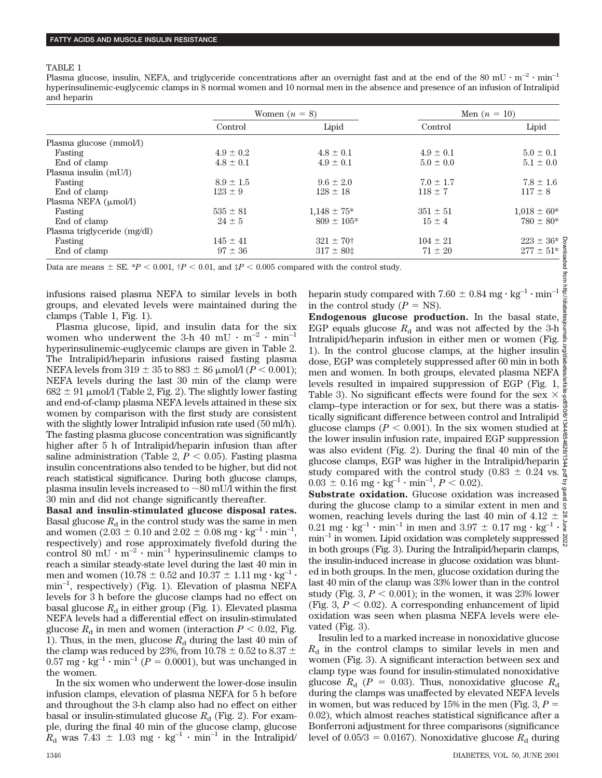#### TABLE 1

Plasma glucose, insulin, NEFA, and triglyceride concentrations after an overnight fast and at the end of the 80 mU  $\cdot$  m<sup>-2</sup>  $\cdot$  min<sup>-1</sup> hyperinsulinemic-euglycemic clamps in 8 normal women and 10 normal men in the absence and presence of an infusion of Intralipid and heparin

|                                  | Women $(n = 8)$ |                      | Men $(n = 10)$ |                 |
|----------------------------------|-----------------|----------------------|----------------|-----------------|
|                                  | Control         | Lipid                | Control        | Lipid           |
| Plasma glucose (mmol/l)          |                 |                      |                |                 |
| Fasting                          | $4.9 \pm 0.2$   | $4.8 \pm 0.1$        | $4.9 \pm 0.1$  | $5.0 \pm 0.1$   |
| End of clamp                     | $4.8 \pm 0.1$   | $4.9 \pm 0.1$        | $5.0 \pm 0.0$  | $5.1 \pm 0.0$   |
| Plasma insulin (mU/l)            |                 |                      |                |                 |
| Fasting                          | $8.9 \pm 1.5$   | $9.6 \pm 2.0$        | $7.0 \pm 1.7$  | $7.8 \pm 1.6$   |
| End of clamp                     | $123 \pm 9$     | $128 \pm 18$         | $118 \pm 7$    | $117 \pm 8$     |
| Plasma NEFA $(\mu \text{mol/l})$ |                 |                      |                |                 |
| Fasting                          | $535 \pm 81$    | $1.148 \pm 75*$      | $351 \pm 51$   | $1,018 \pm 60*$ |
| End of clamp                     | $24 \pm 5$      | $809 \pm 105*$       | $15 \pm 4$     | $780 \pm 80*$   |
| Plasma triglyceride (mg/dl)      |                 |                      |                |                 |
| Fasting                          | $145 \pm 41$    | $321 \pm 70^{\circ}$ | $104 \pm 21$   | $223 \pm 36^*$  |
| End of clamp                     | $97 \pm 36$     | $317 \pm 80$ ‡       | $71 \pm 20$    | $277 \pm 51*$   |

Data are means  $\pm$  SE. \**P* < 0.001,  $\pm P$  < 0.01, and  $\pm P$  < 0.005 compared with the control study.

infusions raised plasma NEFA to similar levels in both groups, and elevated levels were maintained during the clamps (Table 1, Fig. 1).

Plasma glucose, lipid, and insulin data for the six women who underwent the 3-h 40 mU  $\cdot$  m<sup>-2</sup>  $\cdot$  min<sup>-1</sup> hyperinsulinemic-euglycemic clamps are given in Table 2. The Intralipid/heparin infusions raised fasting plasma NEFA levels from  $319 \pm 35$  to  $883 \pm 86$   $\mu$ mol/l ( $P < 0.001$ ); NEFA levels during the last 30 min of the clamp were  $682 \pm 91$  µmol/l (Table 2, Fig. 2). The slightly lower fasting and end-of-clamp plasma NEFA levels attained in these six women by comparison with the first study are consistent with the slightly lower Intralipid infusion rate used (50 ml/h). The fasting plasma glucose concentration was significantly higher after 5 h of Intralipid/heparin infusion than after saline administration (Table 2,  $P < 0.05$ ). Fasting plasma insulin concentrations also tended to be higher, but did not reach statistical significance. During both glucose clamps, plasma insulin levels increased to  $\sim 80$  mU/l within the first 30 min and did not change significantly thereafter.

**Basal and insulin-stimulated glucose disposal rates.** Basal glucose  $R_d$  in the control study was the same in men and women  $(2.03 \pm 0.10 \text{ and } 2.02 \pm 0.08 \text{ mg} \cdot \text{kg}^{-1} \cdot \text{min}^{-1}$ , respectively) and rose approximately fivefold during the control 80 mU  $\cdot$  m<sup>-2</sup>  $\cdot$  min<sup>-1</sup> hyperinsulinemic clamps to reach a similar steady-state level during the last 40 min in men and women (10.78  $\pm$  0.52 and 10.37  $\pm$  1.11 mg · kg<sup>-1</sup> · min–1, respectively) (Fig. 1). Elevation of plasma NEFA levels for 3 h before the glucose clamps had no effect on basal glucose  $R_d$  in either group (Fig. 1). Elevated plasma NEFA levels had a differential effect on insulin-stimulated glucose  $R_d$  in men and women (interaction  $P < 0.02$ , Fig. 1). Thus, in the men, glucose  $R_d$  during the last 40 min of the clamp was reduced by 23%, from 10.78  $\pm$  0.52 to 8.37  $\pm$  $0.57 \text{ mg} \cdot \text{kg}^{-1} \cdot \text{min}^{-1}$  (*P* = 0.0001), but was unchanged in the women.

In the six women who underwent the lower-dose insulin infusion clamps, elevation of plasma NEFA for 5 h before and throughout the 3-h clamp also had no effect on either basal or insulin-stimulated glucose  $R_d$  (Fig. 2). For example, during the final 40 min of the glucose clamp, glucose  $R_d$  was 7.43  $\pm$  1.03 mg  $\cdot$  kg<sup>-1</sup>  $\cdot$  min<sup>-1</sup> in the Intralipid/ heparin study compared with  $7.60 \pm 0.84$  mg  $\cdot$  kg<sup>-1</sup>  $\cdot$  min<sup>-1</sup> in the control study  $(P = NS)$ .

**Endogenous glucose production.** In the basal state, EGP equals glucose  $R_d$  and was not affected by the 3-h Intralipid/heparin infusion in either men or women (Fig. 1). In the control glucose clamps, at the higher insulin dose, EGP was completely suppressed after 60 min in both  $\frac{1}{2}$ men and women. In both groups, elevated plasma NEFA levels resulted in impaired suppression of EGP (Fig. 1, Table 3). No significant effects were found for the sex  $\times$ clamp–type interaction or for sex, but there was a statistically significant difference between control and Intralipid glucose clamps ( $P < 0.001$ ). In the six women studied at  $\frac{8}{5}$ the lower insulin infusion rate, impaired EGP suppression  $\frac{\omega}{\lambda}$ was also evident (Fig. 2). During the final 40 min of the  $\frac{8}{9}$ glucose clamps, EGP was higher in the Intralipid/heparin  $\frac{\infty}{\infty}$ study compared with the control study (0.83  $\pm$  0.24 vs.  $\frac{8}{9}$  $0.03 \pm 0.16$  mg · kg<sup>-1</sup> · min<sup>-1</sup>,  $P < 0.02$ ). Downloaded from http://diabetesjournals.org/diabetes/article-pdf/50/6/1344/654626/1344.pdf by guest on 28 June 2022

**Substrate oxidation.** Glucose oxidation was increased  $\frac{8}{8}$ during the glucose clamp to a similar extent in men and  $\frac{5}{9}$ women, reaching levels during the last 40 min of 4.12  $\pm$ 0.21 mg  $\cdot$  kg<sup>-1</sup>  $\cdot$  min<sup>-1</sup> in men and 3.97  $\pm$  0.17 mg  $\cdot$  kg<sup>-1</sup>  $\cdot$   $\frac{2}{9}$  $min^{-1}$  in women. Lipid oxidation was completely suppressed  $\frac{8}{9}$ in both groups (Fig. 3). During the Intralipid/heparin clamps, the insulin-induced increase in glucose oxidation was blunted in both groups. In the men, glucose oxidation during the last 40 min of the clamp was 33% lower than in the control study (Fig.  $3, P < 0.001$ ); in the women, it was 23% lower (Fig. 3,  $P < 0.02$ ). A corresponding enhancement of lipid oxidation was seen when plasma NEFA levels were elevated (Fig. 3).

Insulin led to a marked increase in nonoxidative glucose  $R<sub>d</sub>$  in the control clamps to similar levels in men and women (Fig. 3). A significant interaction between sex and clamp type was found for insulin-stimulated nonoxidative glucose  $R_{d}$  ( $P = 0.03$ ). Thus, nonoxidative glucose  $R_{d}$ during the clamps was unaffected by elevated NEFA levels in women, but was reduced by 15% in the men (Fig.  $3, P =$ 0.02), which almost reaches statistical significance after a Bonferroni adjustment for three comparisons (significance level of  $0.05/3 = 0.0167$ ). Nonoxidative glucose  $R_d$  during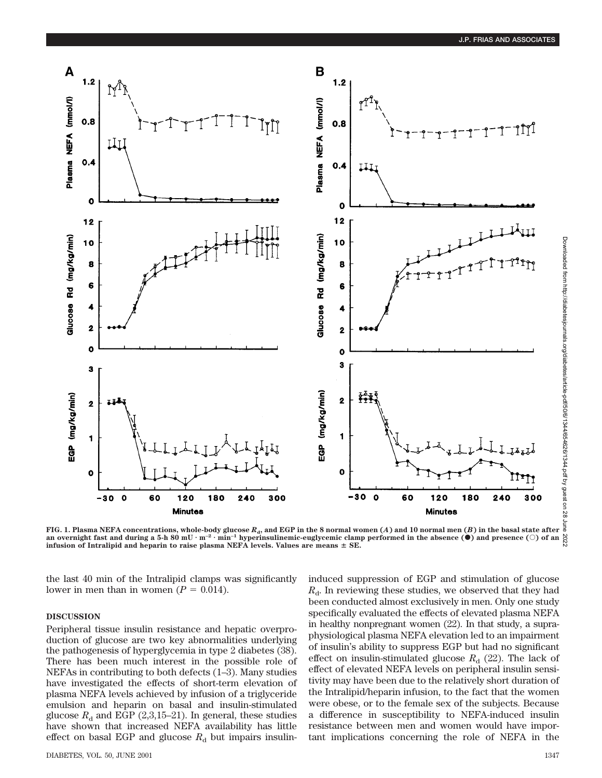

**FIG. 1. Plasma NEFA concentrations, whole-body glucose**  $R_d$ **, and EGP in the 8 normal women (***A***) and 10 normal men (***B***) in the basal state after** an overnight fast and during a 5-h 80 mU  $\cdot$  m<sup>-2</sup>  $\cdot$  min<sup>-1</sup> hyperinsulinemic-euglycemic clamp performed in the absence ( $\bullet$ ) and presence ( $\circ$ ) of an  $\frac{\infty}{6}$ **infusion of Intralipid and heparin to raise plasma NEFA levels. Values are means**  $\pm$  **SE.** 

the last 40 min of the Intralipid clamps was significantly lower in men than in women  $(P = 0.014)$ .

## **DISCUSSION**

Peripheral tissue insulin resistance and hepatic overproduction of glucose are two key abnormalities underlying the pathogenesis of hyperglycemia in type 2 diabetes (38). There has been much interest in the possible role of NEFAs in contributing to both defects (1–3). Many studies have investigated the effects of short-term elevation of plasma NEFA levels achieved by infusion of a triglyceride emulsion and heparin on basal and insulin-stimulated glucose  $R_d$  and EGP (2,3,15–21). In general, these studies have shown that increased NEFA availability has little effect on basal EGP and glucose  $R_d$  but impairs insulininduced suppression of EGP and stimulation of glucose  $R_{d}$ . In reviewing these studies, we observed that they had been conducted almost exclusively in men. Only one study specifically evaluated the effects of elevated plasma NEFA in healthy nonpregnant women (22). In that study, a supraphysiological plasma NEFA elevation led to an impairment of insulin's ability to suppress EGP but had no significant effect on insulin-stimulated glucose  $R<sub>d</sub>$  (22). The lack of effect of elevated NEFA levels on peripheral insulin sensitivity may have been due to the relatively short duration of the Intralipid/heparin infusion, to the fact that the women were obese, or to the female sex of the subjects. Because a difference in susceptibility to NEFA-induced insulin resistance between men and women would have important implications concerning the role of NEFA in the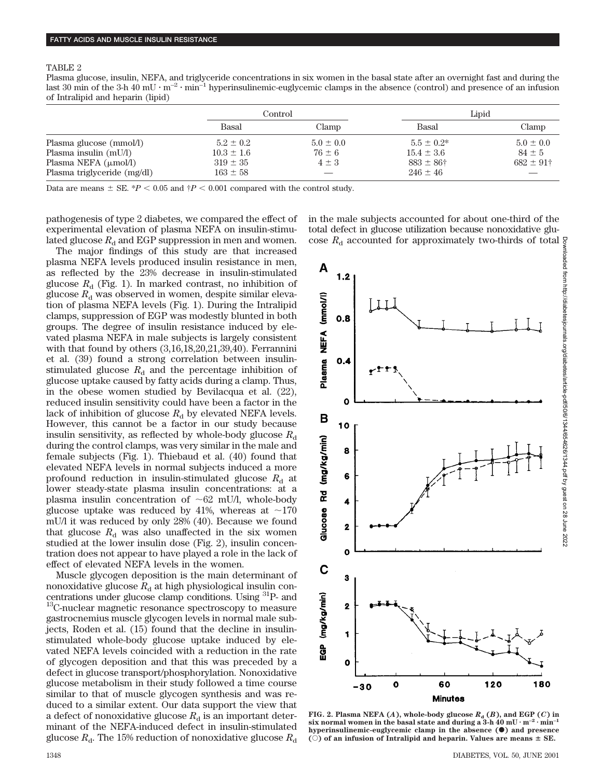TABLE 2

Plasma glucose, insulin, NEFA, and triglyceride concentrations in six women in the basal state after an overnight fast and during the last 30 min of the 3-h 40 mU  $\cdot$  m<sup>-2</sup>  $\cdot$  min<sup>-1</sup> hyperinsulinemic-euglycemic clamps in the absence (control) and presence of an infusion of Intralipid and heparin (lipid)

|                                  |                | Control       |                      | Lipid                     |  |
|----------------------------------|----------------|---------------|----------------------|---------------------------|--|
|                                  | Basal          | Clamp         | Basal                | Clamp                     |  |
| Plasma glucose (mmol/l)          | $5.2 \pm 0.2$  | $5.0 \pm 0.0$ | $5.5 \pm 0.2^*$      | $5.0 \pm 0.0$             |  |
| Plasma insulin (mU/l)            | $10.3 \pm 1.6$ | $76 \pm 6$    | $15.4 \pm 3.6$       | $84 \pm 5$                |  |
| Plasma NEFA $(\mu \text{mol/l})$ | $319 \pm 35$   | $4 \pm 3$     | $883 \pm 86^{\circ}$ | $682 \pm 91$ <sup>+</sup> |  |
| Plasma triglyceride (mg/dl)      | $163 \pm 58$   |               | $246 \pm 46$         |                           |  |

Data are means  $\pm$  SE. \**P* < 0.05 and  $\uparrow$ *P* < 0.001 compared with the control study.

pathogenesis of type 2 diabetes, we compared the effect of experimental elevation of plasma NEFA on insulin-stimulated glucose  $R_d$  and EGP suppression in men and women.

The major findings of this study are that increased plasma NEFA levels produced insulin resistance in men, as reflected by the 23% decrease in insulin-stimulated glucose  $R_d$  (Fig. 1). In marked contrast, no inhibition of glucose  $R_d$  was observed in women, despite similar elevation of plasma NEFA levels (Fig. 1). During the Intralipid clamps, suppression of EGP was modestly blunted in both groups. The degree of insulin resistance induced by elevated plasma NEFA in male subjects is largely consistent with that found by others (3,16,18,20,21,39,40). Ferrannini et al. (39) found a strong correlation between insulinstimulated glucose  $R_d$  and the percentage inhibition of glucose uptake caused by fatty acids during a clamp. Thus, in the obese women studied by Bevilacqua et al. (22), reduced insulin sensitivity could have been a factor in the lack of inhibition of glucose  $R_d$  by elevated NEFA levels. However, this cannot be a factor in our study because insulin sensitivity, as reflected by whole-body glucose  $R_d$ during the control clamps, was very similar in the male and female subjects (Fig. 1). Thiebaud et al. (40) found that elevated NEFA levels in normal subjects induced a more profound reduction in insulin-stimulated glucose  $R_d$  at lower steady-state plasma insulin concentrations: at a plasma insulin concentration of  $\sim 62$  mU/l, whole-body glucose uptake was reduced by 41%, whereas at  $\sim$ 170 mU/l it was reduced by only 28% (40). Because we found that glucose  $R_d$  was also unaffected in the six women studied at the lower insulin dose (Fig. 2), insulin concentration does not appear to have played a role in the lack of effect of elevated NEFA levels in the women.

Muscle glycogen deposition is the main determinant of nonoxidative glucose  $R_d$  at high physiological insulin concentrations under glucose clamp conditions. Using 31P- and <sup>13</sup>C-nuclear magnetic resonance spectroscopy to measure gastrocnemius muscle glycogen levels in normal male subjects, Roden et al. (15) found that the decline in insulinstimulated whole-body glucose uptake induced by elevated NEFA levels coincided with a reduction in the rate of glycogen deposition and that this was preceded by a defect in glucose transport/phosphorylation. Nonoxidative glucose metabolism in their study followed a time course similar to that of muscle glycogen synthesis and was reduced to a similar extent. Our data support the view that a defect of nonoxidative glucose  $R_d$  is an important determinant of the NEFA-induced defect in insulin-stimulated glucose  $R_d$ . The 15% reduction of nonoxidative glucose  $R_d$  Downloaded from http://diabetesjournals.org/diabetes/article-pdf/50/6/1344/654626/1344.pdf by guest on 28 June 2022

in the male subjects accounted for about one-third of the total defect in glucose utilization because nonoxidative glucose  $R_d$  accounted for approximately two-thirds of total



**FIG. 2. Plasma NEFA**  $(A)$ , whole-body glucose  $R_d$   $(B)$ , and EGP  $(C)$  in **six normal women in the basal state and during a 3-h 40 mU**  $\cdot$  **m<sup>-2</sup>**  $\cdot$  **min<sup>-1</sup> hyperinsulinemic-euglycemic clamp in the absence (**F**) and presence**  $(\circ)$  of an infusion of Intralipid and heparin. Values are means  $\pm$  SE.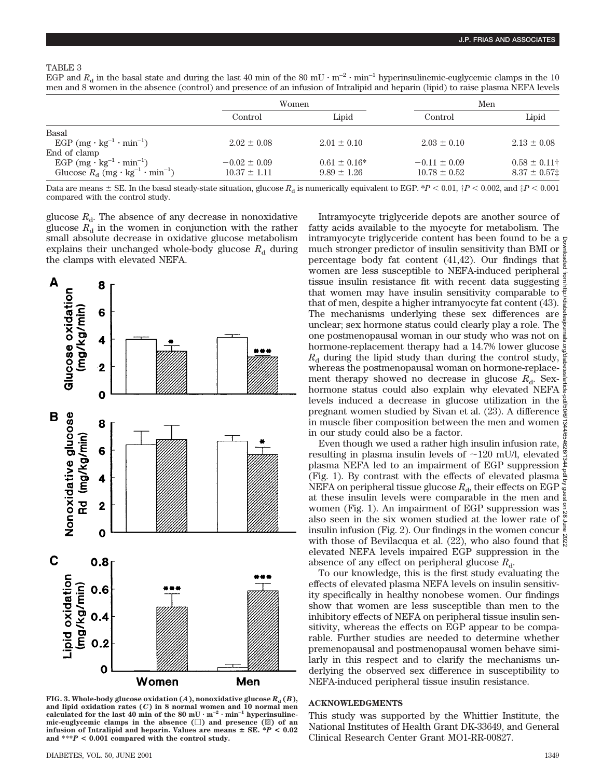## TABLE 3

|  |  |  | EGP and $R_d$ in the basal state and during the last 40 min of the 80 mU $\cdot$ m <sup>-2</sup> $\cdot$ min <sup>-1</sup> hyperinsulinemic-euglycemic clamps in the 10 |  |
|--|--|--|-------------------------------------------------------------------------------------------------------------------------------------------------------------------------|--|
|  |  |  | men and 8 women in the absence (control) and presence of an infusion of Intralipid and heparin (lipid) to raise plasma NEFA levels                                      |  |

|                                                                              | Women            |                   | Men              |                         |  |
|------------------------------------------------------------------------------|------------------|-------------------|------------------|-------------------------|--|
|                                                                              | Control          | Lipid             | Control          | Lipid                   |  |
| Basal                                                                        |                  |                   |                  |                         |  |
| EGP $(mg \cdot kg^{-1} \cdot min^{-1})$                                      | $2.02 + 0.08$    | $2.01 \pm 0.10$   | $2.03 \pm 0.10$  | $2.13 \pm 0.08$         |  |
| End of clamp                                                                 |                  |                   |                  |                         |  |
| EGP $(mg \cdot kg^{-1} \cdot min^{-1})$                                      | $-0.02 \pm 0.09$ | $0.61 \pm 0.16^*$ | $-0.11 \pm 0.09$ | $0.58 \pm 0.11^{\circ}$ |  |
| Glucose $R_{\rm d}$ (mg $\cdot$ kg <sup>-1</sup> $\cdot$ min <sup>-1</sup> ) | $10.37 \pm 1.11$ | $9.89 \pm 1.26$   | $10.78 \pm 0.52$ | $8.37 \pm 0.57$         |  |

Data are means  $\pm$  SE. In the basal steady-state situation, glucose  $R_d$  is numerically equivalent to EGP.  $*P < 0.01$ ,  $\uparrow P < 0.002$ , and  $\uparrow P < 0.001$ compared with the control study.

glucose  $R_{d}$ . The absence of any decrease in nonoxidative glucose  $R_d$  in the women in conjunction with the rather small absolute decrease in oxidative glucose metabolism explains their unchanged whole-body glucose  $R_d$  during the clamps with elevated NEFA.



**FIG. 3. Whole-body glucose oxidation (***A***), nonoxidative glucose**  $R_d$  **(***B***),** and lipid oxidation rates  $(C)$  in 8 normal women and 10 normal mencalculated for the last 40 min of the 80 mU $\cdot$  m<sup>-2</sup> $\cdot$  min<sup>-1</sup> hyperinsuline**mic-euglycemic clamps in the absence (**M**) and presence (**o**) of an infusion of Intralipid and heparin. Values are means**  $\pm$  **SE.**  $*P$  **< 0.02 and \*\*\****P* **< 0.001 compared with the control study.**

Intramyocyte triglyceride depots are another source of fatty acids available to the myocyte for metabolism. The intramyocyte triglyceride content has been found to be a much stronger predictor of insulin sensitivity than BMI or percentage body fat content (41,42). Our findings that women are less susceptible to NEFA-induced peripheral tissue insulin resistance fit with recent data suggesting that women may have insulin sensitivity comparable to that of men, despite a higher intramyocyte fat content (43). The mechanisms underlying these sex differences are unclear; sex hormone status could clearly play a role. The one postmenopausal woman in our study who was not on hormone-replacement therapy had a 14.7% lower glucose  $\frac{1}{6}$  $R_{d}$  during the lipid study than during the control study, whereas the postmenopausal woman on hormone-replacement therapy showed no decrease in glucose  $R_d$ . Sexhormone status could also explain why elevated NEFA levels induced a decrease in glucose utilization in the pregnant women studied by Sivan et al. (23). A difference in muscle fiber composition between the men and women in our study could also be a factor. Downloaded from http://diabetesjournals.org/diabetes/article-pdf/50/6/1344/654626/1344.pdf by guest on 28 June 2022

Even though we used a rather high insulin infusion rate, resulting in plasma insulin levels of  $\sim$ 120 mU/l, elevated plasma NEFA led to an impairment of EGP suppression bdf by gr (Fig. 1). By contrast with the effects of elevated plasma NEFA on peripheral tissue glucose  $R_d$ , their effects on EGP at these insulin levels were comparable in the men and  $\frac{3}{2}$ women (Fig. 1). An impairment of EGP suppression was also seen in the six women studied at the lower rate of insulin infusion (Fig. 2). Our findings in the women concur with those of Bevilacqua et al. (22), who also found that  $\frac{8}{5}$ elevated NEFA levels impaired EGP suppression in the absence of any effect on peripheral glucose  $R_d$ .

To our knowledge, this is the first study evaluating the effects of elevated plasma NEFA levels on insulin sensitivity specifically in healthy nonobese women. Our findings show that women are less susceptible than men to the inhibitory effects of NEFA on peripheral tissue insulin sensitivity, whereas the effects on EGP appear to be comparable. Further studies are needed to determine whether premenopausal and postmenopausal women behave similarly in this respect and to clarify the mechanisms underlying the observed sex difference in susceptibility to NEFA-induced peripheral tissue insulin resistance.

## **ACKNOWLEDGMENTS**

This study was supported by the Whittier Institute, the National Institutes of Health Grant DK-33649, and General Clinical Research Center Grant MO1-RR-00827.